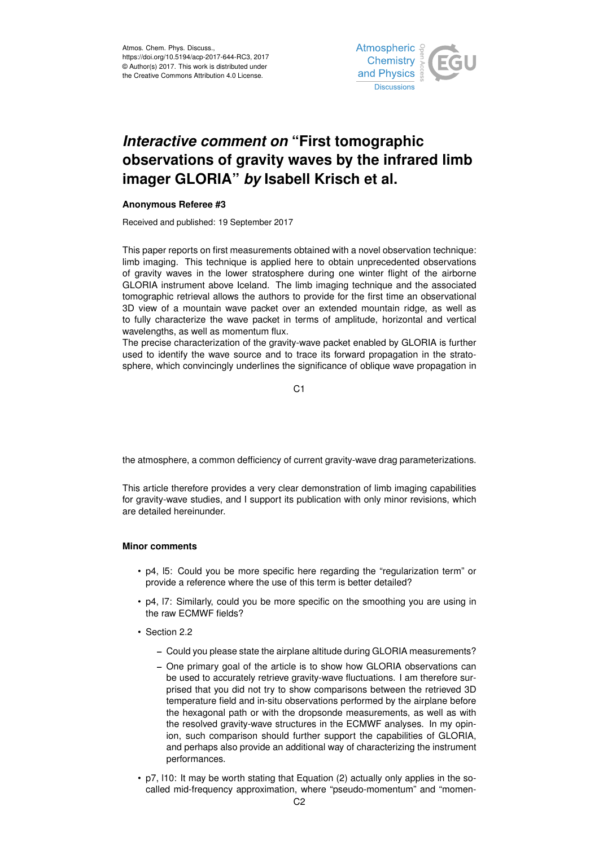

# *Interactive comment on* **"First tomographic observations of gravity waves by the infrared limb imager GLORIA"** *by* **Isabell Krisch et al.**

### **Anonymous Referee #3**

Received and published: 19 September 2017

This paper reports on first measurements obtained with a novel observation technique: limb imaging. This technique is applied here to obtain unprecedented observations of gravity waves in the lower stratosphere during one winter flight of the airborne GLORIA instrument above Iceland. The limb imaging technique and the associated tomographic retrieval allows the authors to provide for the first time an observational 3D view of a mountain wave packet over an extended mountain ridge, as well as to fully characterize the wave packet in terms of amplitude, horizontal and vertical wavelengths, as well as momentum flux.

The precise characterization of the gravity-wave packet enabled by GLORIA is further used to identify the wave source and to trace its forward propagation in the stratosphere, which convincingly underlines the significance of oblique wave propagation in

C<sub>1</sub>

the atmosphere, a common defficiency of current gravity-wave drag parameterizations.

This article therefore provides a very clear demonstration of limb imaging capabilities for gravity-wave studies, and I support its publication with only minor revisions, which are detailed hereinunder.

## **Minor comments**

- p4, l5: Could you be more specific here regarding the "regularization term" or provide a reference where the use of this term is better detailed?
- p4, l7: Similarly, could you be more specific on the smoothing you are using in the raw ECMWF fields?
- Section 2.2
	- Could you please state the airplane altitude during GLORIA measurements?
	- One primary goal of the article is to show how GLORIA observations can be used to accurately retrieve gravity-wave fluctuations. I am therefore surprised that you did not try to show comparisons between the retrieved 3D temperature field and in-situ observations performed by the airplane before the hexagonal path or with the dropsonde measurements, as well as with the resolved gravity-wave structures in the ECMWF analyses. In my opinion, such comparison should further support the capabilities of GLORIA, and perhaps also provide an additional way of characterizing the instrument performances.
- p7, l10: It may be worth stating that Equation (2) actually only applies in the socalled mid-frequency approximation, where "pseudo-momentum" and "momen-